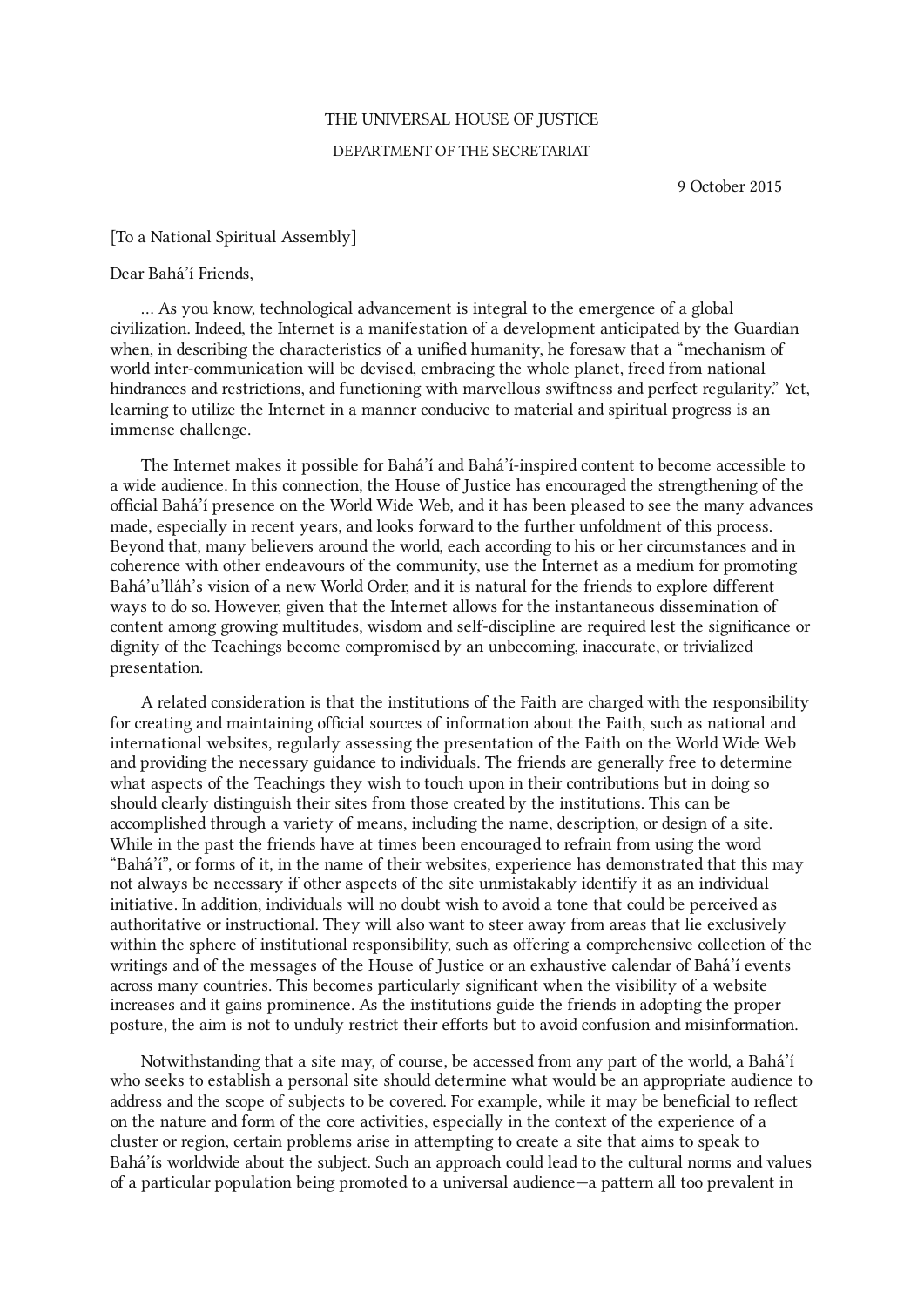## THE UNIVERSAL HOUSE OF JUSTICE

## DEPARTMENT OF THE SECRETARIAT

9 October 2015

## [To a National Spiritual Assembly]

## Dear Bahá'í Friends,

… As you know, technological advancement is integral to the emergence of a global civilization. Indeed, the Internet is a manifestation of a development anticipated by the Guardian when, in describing the characteristics of a unified humanity, he foresaw that a "mechanism of world inter-communication will be devised, embracing the whole planet, freed from national hindrances and restrictions, and functioning with marvellous swiftness and perfect regularity." Yet, learning to utilize the Internet in a manner conducive to material and spiritual progress is an immense challenge.

The Internet makes it possible for Bahá'í and Bahá'í-inspired content to become accessible to a wide audience. In this connection, the House of Justice has encouraged the strengthening of the official Bahá'í presence on the World Wide Web, and it has been pleased to see the many advances made, especially in recent years, and looks forward to the further unfoldment of this process. Beyond that, many believers around the world, each according to his or her circumstances and in coherence with other endeavours of the community, use the Internet as a medium for promoting Bahá'u'lláh's vision of a new World Order, and it is natural for the friends to explore different ways to do so. However, given that the Internet allows for the instantaneous dissemination of content among growing multitudes, wisdom and self-discipline are required lest the significance or dignity of the Teachings become compromised by an unbecoming, inaccurate, or trivialized presentation.

A related consideration is that the institutions of the Faith are charged with the responsibility for creating and maintaining official sources of information about the Faith, such as national and international websites, regularly assessing the presentation of the Faith on the World Wide Web and providing the necessary guidance to individuals. The friends are generally free to determine what aspects of the Teachings they wish to touch upon in their contributions but in doing so should clearly distinguish their sites from those created by the institutions. This can be accomplished through a variety of means, including the name, description, or design of a site. While in the past the friends have at times been encouraged to refrain from using the word "Bahá'í", or forms of it, in the name of their websites, experience has demonstrated that this may not always be necessary if other aspects of the site unmistakably identify it as an individual initiative. In addition, individuals will no doubt wish to avoid a tone that could be perceived as authoritative or instructional. They will also want to steer away from areas that lie exclusively within the sphere of institutional responsibility, such as offering a comprehensive collection of the writings and of the messages of the House of Justice or an exhaustive calendar of Bahá'í events across many countries. This becomes particularly significant when the visibility of a website increases and it gains prominence. As the institutions guide the friends in adopting the proper posture, the aim is not to unduly restrict their efforts but to avoid confusion and misinformation.

Notwithstanding that a site may, of course, be accessed from any part of the world, a Bahá'í who seeks to establish a personal site should determine what would be an appropriate audience to address and the scope of subjects to be covered. For example, while it may be beneficial to reflect on the nature and form of the core activities, especially in the context of the experience of a cluster or region, certain problems arise in attempting to create a site that aims to speak to Bahá'ís worldwide about the subject. Such an approach could lead to the cultural norms and values of a particular population being promoted to a universal audience—a pattern all too prevalent in